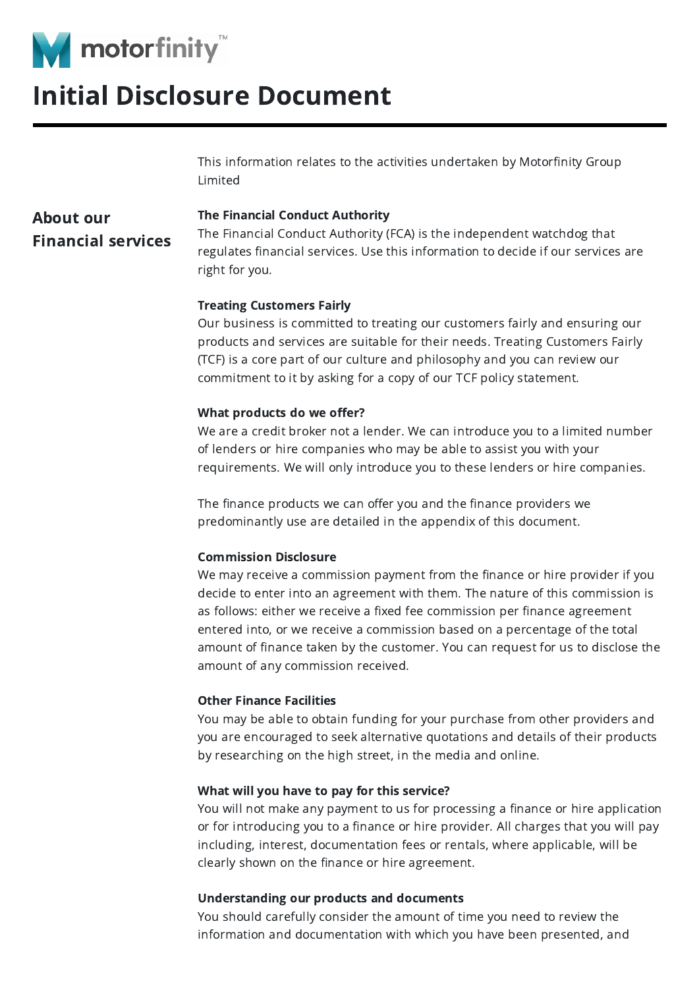

## Initial Disclosure Document

This information relates to the activities undertaken by Motorfinity Group Limited

### About our Financial services

### The Financial Conduct Authority

The Financial Conduct Authority (FCA) is the independent watchdog that regulates financial services. Use this information to decide if our services are right for you.

### Treating Customers Fairly

Our business is committed to treating our customers fairly and ensuring our products and services are suitable for their needs. Treating Customers Fairly (TCF) is a core part of our culture and philosophy and you can review our commitment to it by asking for a copy of our TCF policy statement.

### What products do we offer?

We are a credit broker not a lender. We can introduce you to a limited number of lenders or hire companies who may be able to assist you with your requirements. We will only introduce you to these lenders or hire companies.

The finance products we can offer you and the finance providers we predominantly use are detailed in the appendix of this document.

### Commission Disclosure

We may receive a commission payment from the finance or hire provider if you decide to enter into an agreement with them. The nature of this commission is as follows: either we receive a fixed fee commission per finance agreement entered into, or we receive a commission based on a percentage of the total amount of finance taken by the customer. You can request for us to disclose the amount of any commission received.

### Other Finance Facilities

You may be able to obtain funding for your purchase from other providers and you are encouraged to seek alternative quotations and details of their products by researching on the high street, in the media and online.

### What will you have to pay for this service?

You will not make any payment to us for processing a finance or hire application or for introducing you to a finance or hire provider. All charges that you will pay including, interest, documentation fees or rentals, where applicable, will be clearly shown on the finance or hire agreement.

### Understanding our products and documents

You should carefully consider the amount of time you need to review the information and documentation with which you have been presented, and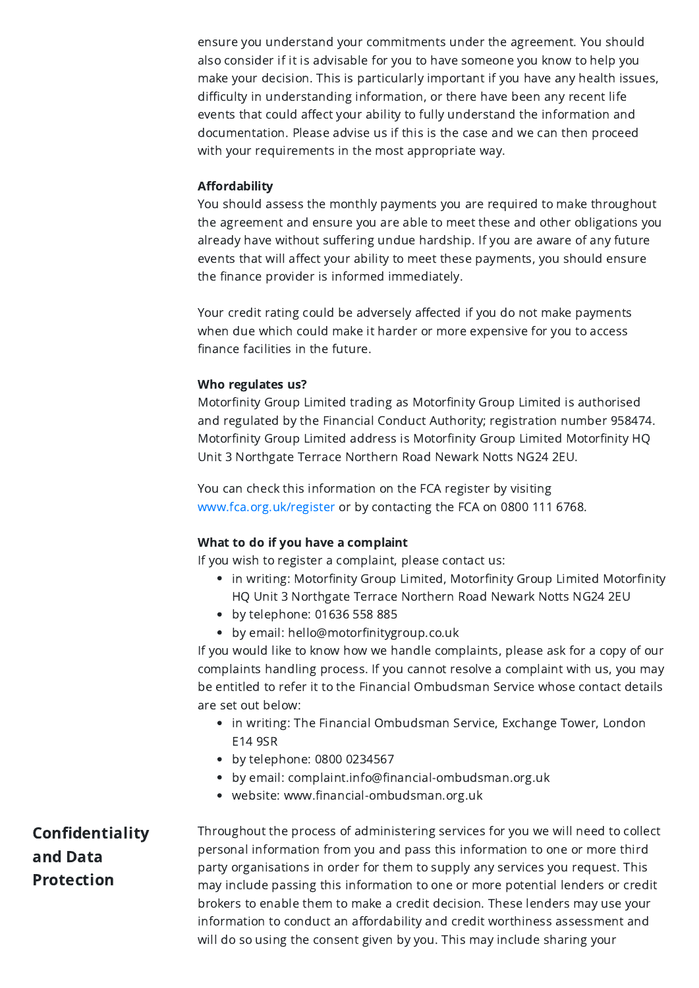ensure you understand your commitments under the agreement. You should also consider if it is advisable for you to have someone you know to help you make your decision. This is particularly important if you have any health issues, difficulty in understanding information, or there have been any recent life events that could affect your ability to fully understand the information and documentation. Please advise us if this is the case and we can then proceed with your requirements in the most appropriate way.

### Affordability

You should assess the monthly payments you are required to make throughout the agreement and ensure you are able to meet these and other obligations you already have without suffering undue hardship. If you are aware of any future events that will affect your ability to meet these payments, you should ensure the finance provider is informed immediately.

Your credit rating could be adversely affected if you do not make payments when due which could make it harder or more expensive for you to access finance facilities in the future.

### Who regulates us?

Motorfinity Group Limited trading as Motorfinity Group Limited is authorised and regulated by the Financial Conduct Authority; registration number 958474. Motorfinity Group Limited address is Motorfinity Group Limited Motorfinity HQ Unit 3 Northgate Terrace Northern Road Newark Notts NG24 2EU.

You can check this information on the FCA register by visiting [www.fca.org.uk/register](http://www.fca.org.uk/register) or by contacting the FCA on 0800 111 6768.

### What to do if you have a complaint

If you wish to register a complaint, please contact us:

- in writing: Motorfinity Group Limited, Motorfinity Group Limited Motorfinity HQ Unit 3 Northgate Terrace Northern Road Newark Notts NG24 2EU
- by telephone: 01636 558 885
- by email: hello@motorfinitygroup.co.uk

If you would like to know how we handle complaints, please ask for a copy of our complaints handling process. If you cannot resolve a complaint with us, you may be entitled to refer it to the Financial Ombudsman Service whose contact details are set out below:

- in writing: The Financial Ombudsman Service, Exchange Tower, London E14 9SR
- by telephone: 0800 0234567
- by email: complaint.info@financial-ombudsman.org.uk
- website: www.financial-ombudsman.org.uk

Confidentiality and Data Protection Throughout the process of administering services for you we will need to collect personal information from you and pass this information to one or more third party organisations in order for them to supply any services you request. This may include passing this information to one or more potential lenders or credit brokers to enable them to make a credit decision. These lenders may use your information to conduct an affordability and credit worthiness assessment and will do so using the consent given by you. This may include sharing your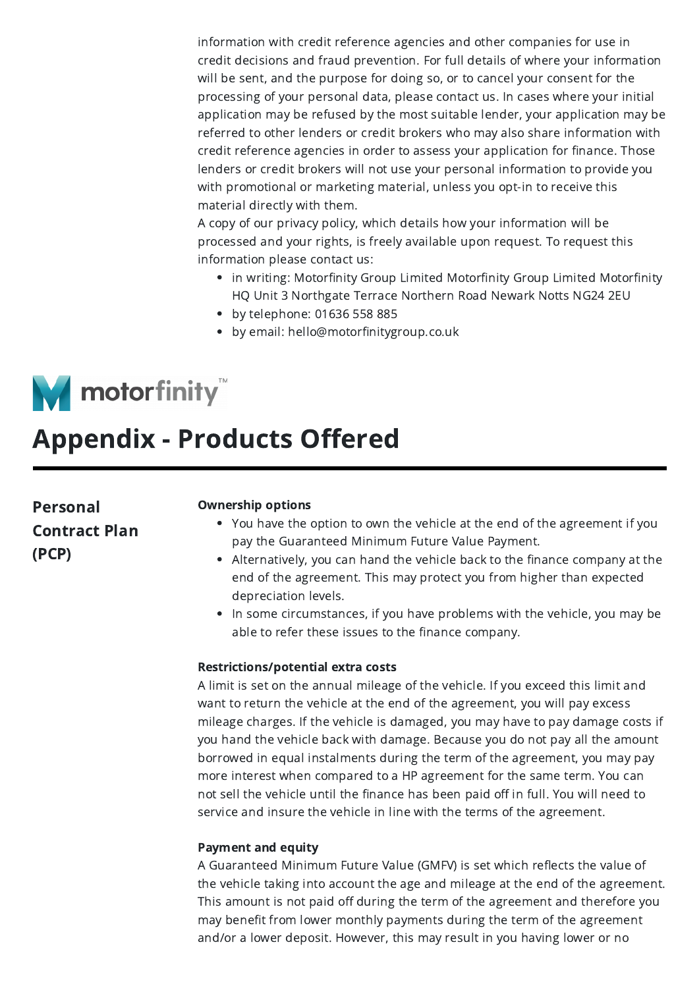information with credit reference agencies and other companies for use in credit decisions and fraud prevention. For full details of where your information will be sent, and the purpose for doing so, or to cancel your consent for the processing of your personal data, please contact us. In cases where your initial application may be refused by the most suitable lender, your application may be referred to other lenders or credit brokers who may also share information with credit reference agencies in order to assess your application for finance. Those lenders or credit brokers will not use your personal information to provide you with promotional or marketing material, unless you opt-in to receive this material directly with them.

A copy of our privacy policy, which details how your information will be processed and your rights, is freely available upon request. To request this information please contact us:

- in writing: Motorfinity Group Limited Motorfinity Group Limited Motorfinity HQ Unit 3 Northgate Terrace Northern Road Newark Notts NG24 2EU
- by telephone: 01636 558 885
- by email: hello@motorfinitygroup.co.uk



# Appendix - Products Offered

Personal Contract Plan (PCP)

#### Ownership options

- You have the option to own the vehicle at the end of the agreement if you pay the Guaranteed Minimum Future Value Payment.
- Alternatively, you can hand the vehicle back to the finance company at the end of the agreement. This may protect you from higher than expected depreciation levels.
- In some circumstances, if you have problems with the vehicle, you may be able to refer these issues to the finance company.

#### Restrictions/potential extra costs

A limit is set on the annual mileage of the vehicle. If you exceed this limit and want to return the vehicle at the end of the agreement, you will pay excess mileage charges. If the vehicle is damaged, you may have to pay damage costs if you hand the vehicle back with damage. Because you do not pay all the amount borrowed in equal instalments during the term of the agreement, you may pay more interest when compared to a HP agreement for the same term. You can not sell the vehicle until the finance has been paid off in full. You will need to service and insure the vehicle in line with the terms of the agreement.

### Payment and equity

A Guaranteed Minimum Future Value (GMFV) is set which reflects the value of the vehicle taking into account the age and mileage at the end of the agreement. This amount is not paid off during the term of the agreement and therefore you may benefit from lower monthly payments during the term of the agreement and/or a lower deposit. However, this may result in you having lower or no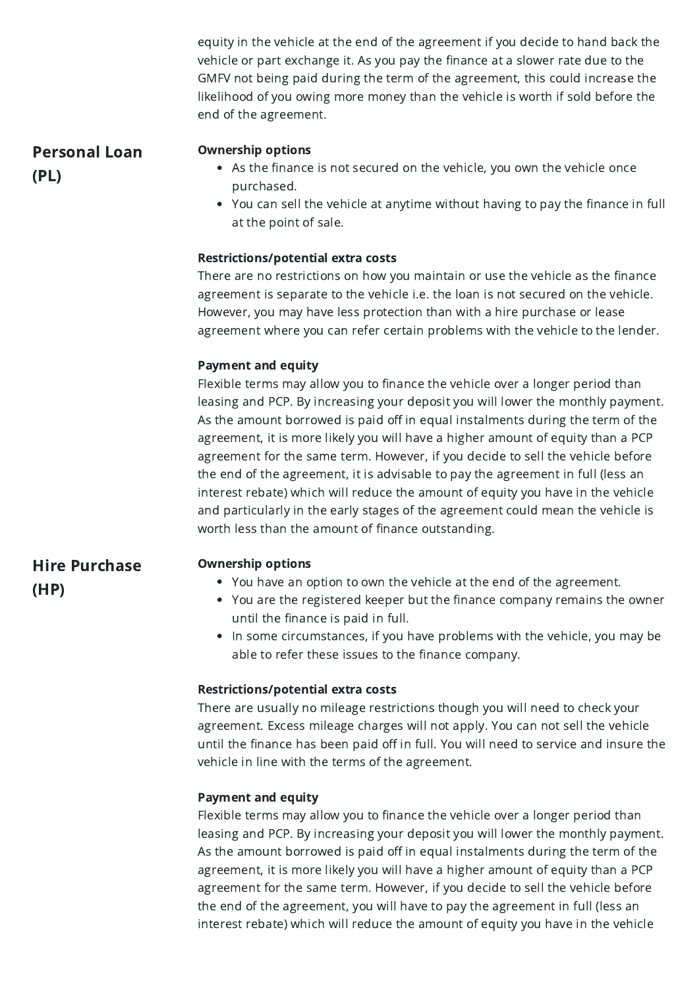equity in the vehicle at the end of the agreement if you decide to hand back the vehicle or part exchange it. As you pay the finance at a slower rate due to the GMFV not being paid during the term of the agreement, this could increase the likelihood of you owing more money than the vehicle is worth if sold before the end of the agreement.

Personal Loan (PL)

### Ownership options

- As the finance is not secured on the vehicle, you own the vehicle once purchased.
- You can sell the vehicle at anytime without having to pay the finance in full at the point of sale.

### Restrictions/potential extra costs

There are no restrictions on how you maintain or use the vehicle as the finance agreement is separate to the vehicle i.e. the loan is not secured on the vehicle. However, you may have less protection than with a hire purchase or lease agreement where you can refer certain problems with the vehicle to the lender.

### Payment and equity

Flexible terms may allow you to finance the vehicle over a longer period than leasing and PCP. By increasing your deposit you will lower the monthly payment. As the amount borrowed is paid off in equal instalments during the term of the agreement, it is more likely you will have a higher amount of equity than a PCP agreement for the same term. However, if you decide to sell the vehicle before the end of the agreement, it is advisable to pay the agreement in full (less an interest rebate) which will reduce the amount of equity you have in the vehicle and particularly in the early stages of the agreement could mean the vehicle is worth less than the amount of finance outstanding.

Hire Purchase (HP)

### Ownership options

- You have an option to own the vehicle at the end of the agreement.
- You are the registered keeper but the finance company remains the owner until the finance is paid in full.
- In some circumstances, if you have problems with the vehicle, you may be able to refer these issues to the finance company.

### Restrictions/potential extra costs

There are usually no mileage restrictions though you will need to check your agreement. Excess mileage charges will not apply. You can not sell the vehicle until the finance has been paid off in full. You will need to service and insure the vehicle in line with the terms of the agreement.

### Payment and equity

Flexible terms may allow you to finance the vehicle over a longer period than leasing and PCP. By increasing your deposit you will lower the monthly payment. As the amount borrowed is paid off in equal instalments during the term of the agreement, it is more likely you will have a higher amount of equity than a PCP agreement for the same term. However, if you decide to sell the vehicle before the end of the agreement, you will have to pay the agreement in full (less an interest rebate) which will reduce the amount of equity you have in the vehicle